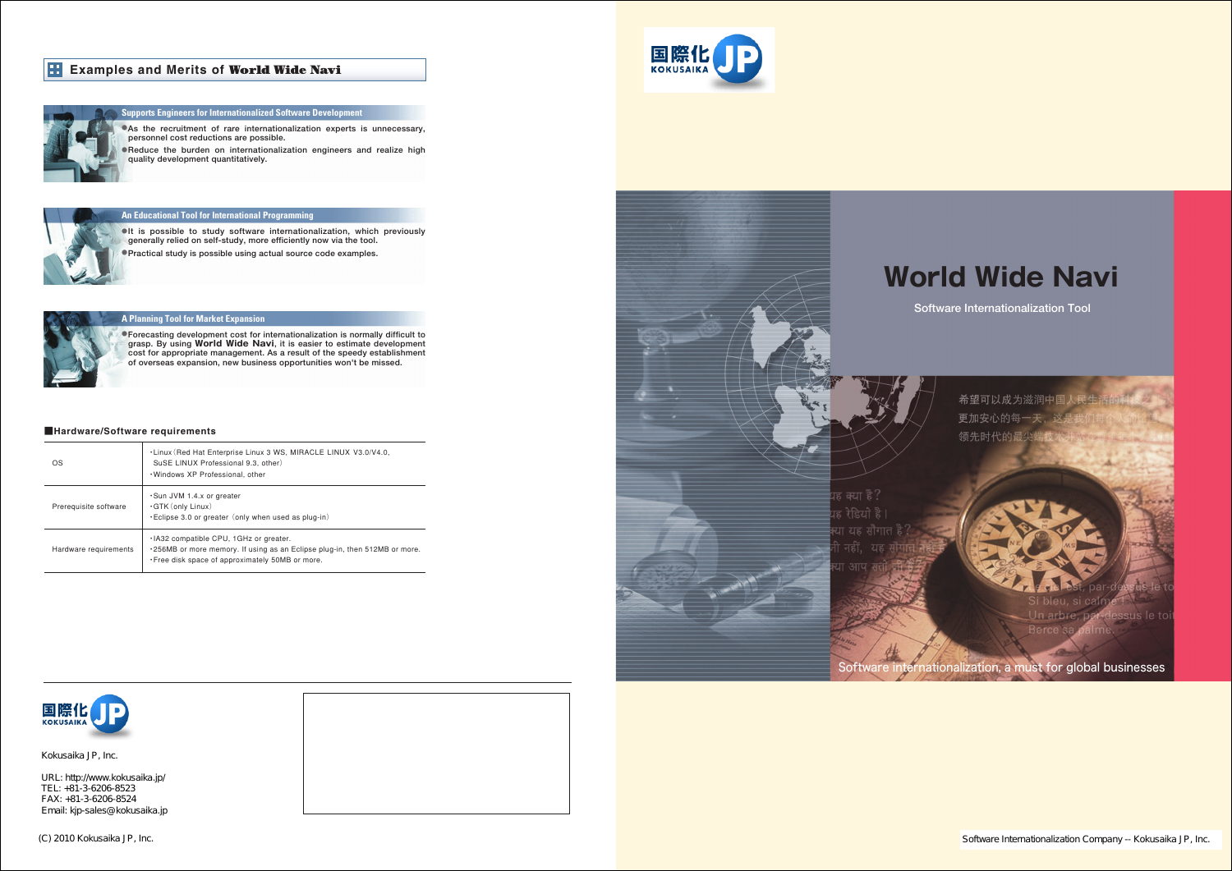# **World Wide Navi**



(C) 2010 Kokusaika JP, Inc. Software Internationalization Company -- Kokusaika JP, Inc. Software Internationalization Company -- Kokusaika JP, Inc.

**Software Internationalization Tool**



# Examples and Merits of **World Wide Navi**



| OS                    | . Linux (Red Hat Enterprise Linux 3 WS, MIRACLE LINUX V3.0/V4.0,<br>SuSE LINUX Professional 9.3, other)<br>. Windows XP Professional, other                                      |
|-----------------------|----------------------------------------------------------------------------------------------------------------------------------------------------------------------------------|
| Prerequisite software | Sun JVM 1.4.x or greater<br>$\cdot$ GTK (only Linux)<br>$\cdot$ Eclipse 3.0 or greater (only when used as plug-in)                                                               |
| Hardware requirements | . IA32 compatible CPU, 1GHz or greater.<br>$\cdot$ 256MB or more memory. If using as an Eclipse plug-in, then 512MB or more.<br>. Free disk space of approximately 50MB or more. |





 $\mathbb{R}^3$  -81-3-3526-6141(Tel) +81-3-2526-6141(Tel) +81-3-2526-6142(Fax) URL: http://www.kokusaika.jp/ FAX: +81-3-6206-8524 Email: kjp-sales@ kokusaika.jp TEL: +81-3-6206-8523

# **Supports Engineers for Internationalized Software Development**

Carrefour Kanda 5th Floor� 1-2-1 Kanda-sudacho, Chiyoda-ku, Tokyo 101-0041 Japan � Kokusaika JP, Inc.

**●As the recruitment of rare internationalization experts is unnecessary, personnel cost reductions are possible.�**

**●Reduce the burden on internationalization engineers and realize high quality development quantitatively.�**



# **An Educational Tool for International Programm**

**●It is possible to study software internationalization, which previously**  generally relied on self-study, more efficiently now via the tool. **●Practical study is possible using actual source code examples.�**



# **A Planning Tool for Market Expansion**

**●Forecasting development cost for internationalization is normally difficult to grasp. By using World Wide Navi, it is easier to estimate development cost for appropriate management. As a result of the speedy establishment of overseas expansion, new business opportunities won't be missed.**

# ■Hardware/Software requirements